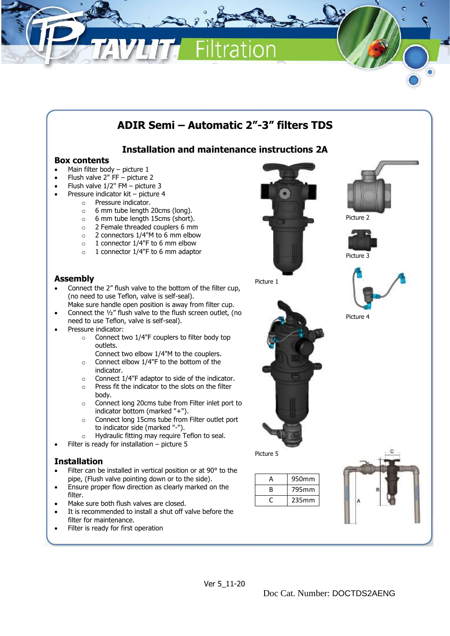

# **Installation and maintenance instructions 2A**

#### **Box contents**

- Main filter body picture 1
- Flush valve 2" FF picture 2
- Flush valve 1/2" FM picture 3
- Pressure indicator kit picture 4
	- o Pressure indicator.
	- o 6 mm tube length 20cms (long).
	- o 6 mm tube length 15cms (short).
	- o 2 Female threaded couplers 6 mm
	- o 2 connectors 1/4"M to 6 mm elbow
	- o 1 connector 1/4"F to 6 mm elbow
	- o 1 connector 1/4"F to 6 mm adaptor

#### **Assembly**

- Connect the 2" flush valve to the bottom of the filter cup, (no need to use Teflon, valve is self-seal).
- Make sure handle open position is away from filter cup. • Connect the ½" flush valve to the flush screen outlet, (no need to use Teflon, valve is self-seal).
- Pressure indicator:
	- o Connect two 1/4"F couplers to filter body top outlets.
		- Connect two elbow 1/4"M to the couplers.
	- o Connect elbow 1/4"F to the bottom of the indicator.
	- o Connect 1/4"F adaptor to side of the indicator.
	- $\circ$  Press fit the indicator to the slots on the filter body.
	- o Connect long 20cms tube from Filter inlet port to indicator bottom (marked "+").
	- o Connect long 15cms tube from Filter outlet port to indicator side (marked "-").
	- o Hydraulic fitting may require Teflon to seal. Filter is ready for installation  $-$  picture 5

### **Installation**

- Filter can be installed in vertical position or at 90° to the pipe, (Flush valve pointing down or to the side).
- Ensure proper flow direction as clearly marked on the filter.
- Make sure both flush valves are closed.
- It is recommended to install a shut off valve before the filter for maintenance.
- Filter is ready for first operation







Picture 4

Picture 1



Picture 5

| А | 950mm |
|---|-------|
| B | 795mm |
|   | 235mm |
|   |       |

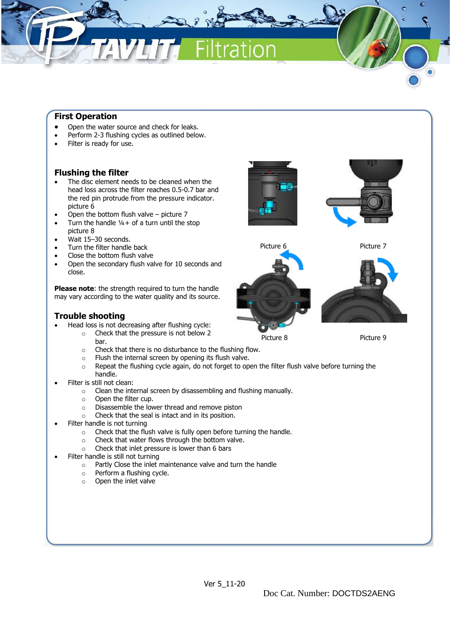#### **First Operation**

- Open the water source and check for leaks.
- Perform 2-3 flushing cycles as outlined below.
- Filter is ready for use.

#### **Flushing the filter**

- The disc element needs to be cleaned when the head loss across the filter reaches 0.5-0.7 bar and the red pin protrude from the pressure indicator. picture 6
- Open the bottom flush valve picture 7
- Turn the handle  $1/4+$  of a turn until the stop picture 8
- Wait 15–30 seconds.
- Turn the filter handle back
- Close the bottom flush valve
- Open the secondary flush valve for 10 seconds and close.

**Please note**: the strength required to turn the handle may vary according to the water quality and its source.

#### **Trouble shooting**

- Head loss is not decreasing after flushing cycle:
	- o Check that the pressure is not below 2 bar.
	- o Check that there is no disturbance to the flushing flow.
	- o Flush the internal screen by opening its flush valve.
	- $\circ$  Repeat the flushing cycle again, do not forget to open the filter flush valve before turning the handle.
- Filter is still not clean:
	- o Clean the internal screen by disassembling and flushing manually.
	- o Open the filter cup.
	- o Disassemble the lower thread and remove piston
	- o Check that the seal is intact and in its position.
- Filter handle is not turning
	- o Check that the flush valve is fully open before turning the handle.
	- o Check that water flows through the bottom valve.
	- o Check that inlet pressure is lower than 6 bars
- Filter handle is still not turning
	- o Partly Close the inlet maintenance valve and turn the handle
	- o Perform a flushing cycle.
	- o Open the inlet valve





Picture 6 Picture 7

Picture 8 Picture 9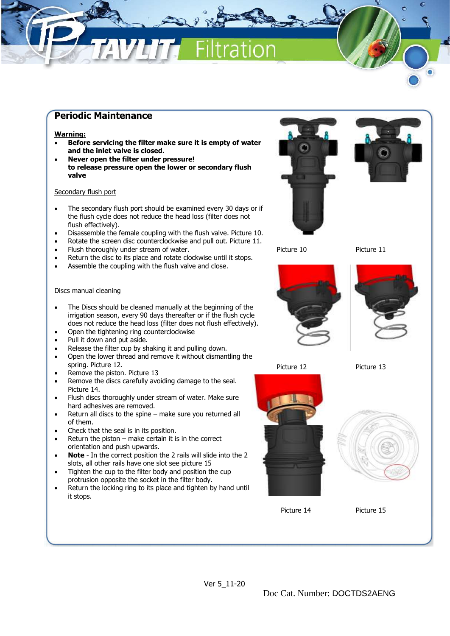## **Periodic Maintenance**

#### **Warning:**

- **Before servicing the filter make sure it is empty of water and the inlet valve is closed.**
- **Never open the filter under pressure! to release pressure open the lower or secondary flush valve**

#### Secondary flush port

- The secondary flush port should be examined every 30 days or if the flush cycle does not reduce the head loss (filter does not flush effectively).
- Disassemble the female coupling with the flush valve. Picture 10.
- Rotate the screen disc counterclockwise and pull out. Picture 11.
- Flush thoroughly under stream of water.
- Return the disc to its place and rotate clockwise until it stops.
- Assemble the coupling with the flush valve and close.

#### Discs manual cleaning

- The Discs should be cleaned manually at the beginning of the irrigation season, every 90 days thereafter or if the flush cycle does not reduce the head loss (filter does not flush effectively).
- Open the tightening ring counterclockwise
- Pull it down and put aside.
- Release the filter cup by shaking it and pulling down.
- Open the lower thread and remove it without dismantling the spring. Picture 12.
- Remove the piston. Picture 13
- Remove the discs carefully avoiding damage to the seal. Picture 14.
- Flush discs thoroughly under stream of water. Make sure hard adhesives are removed.
- Return all discs to the spine make sure you returned all of them.
- Check that the seal is in its position.
- Return the piston  $-$  make certain it is in the correct orientation and push upwards.
- **Note** In the correct position the 2 rails will slide into the 2 slots, all other rails have one slot see picture 15
- Tighten the cup to the filter body and position the cup protrusion opposite the socket in the filter body.
- Return the locking ring to its place and tighten by hand until it stops.





Picture 10 Picture 11





Picture 12 Picture 13





Picture 14 Picture 15